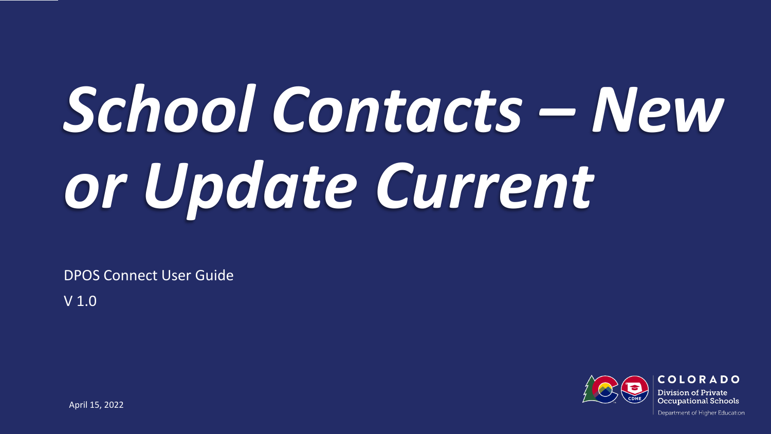# *School Contacts – New or Update Current*

DPOS Connect User Guide

V 1.0

COLORADO Division of Private Occupational Schools

April 15, 2022

Department of Higher Education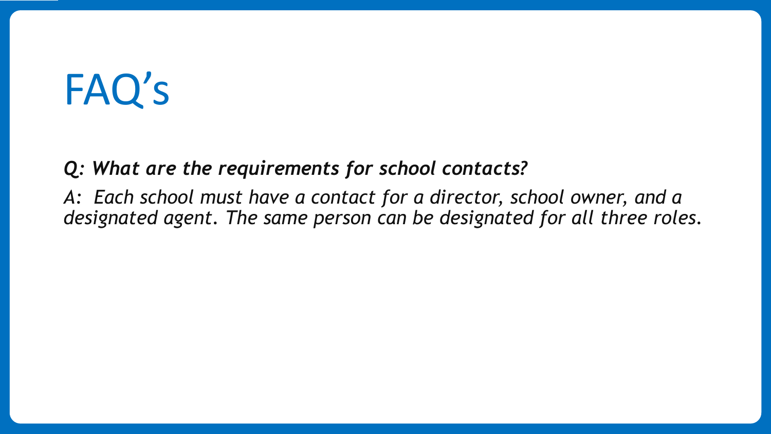## FAQ's

*Q: What are the requirements for school contacts?*

*A: Each school must have a contact for a director, school owner, and a designated agent. The same person can be designated for all three roles.*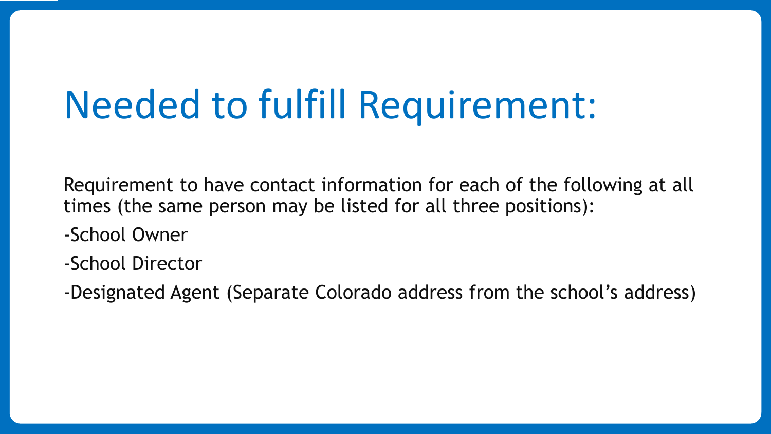### Needed to fulfill Requirement:

Requirement to have contact information for each of the following at all times (the same person may be listed for all three positions):

- -School Owner
- -School Director
- -Designated Agent (Separate Colorado address from the school's address)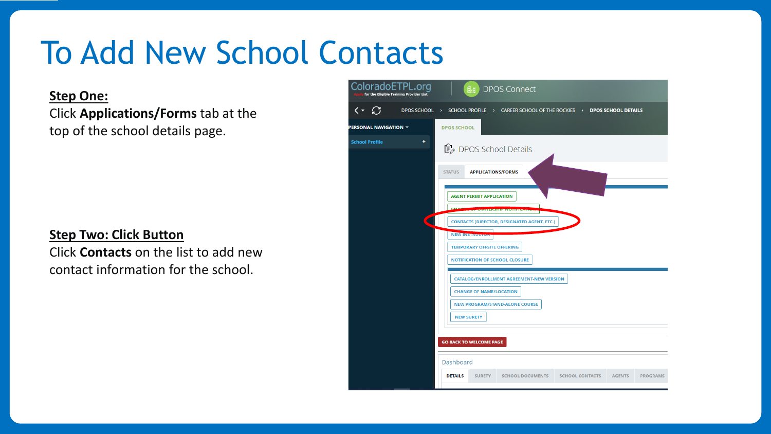### To Add New School Contacts

#### **Step One:**

Click **Applications/Forms** tab at the top of the school details page.

#### **Step Two: Click Button**

Click **Contacts** on the list to add new contact information for the school.

| ploradoETPL.org<br>for the Eligible Training Provider List | 鼬<br><b>DPOS Connect</b>                                                                                                 |
|------------------------------------------------------------|--------------------------------------------------------------------------------------------------------------------------|
| C<br>۰                                                     | DPOS SCHOOL > SCHOOL PROFILE > CAREER SCHOOL OF THE ROCKIES > DPOS SCHOOL DETAILS                                        |
| ONAL NAVIGATION T                                          | <b>DPOS SCHOOL</b>                                                                                                       |
| ٠<br>ool Profile                                           | <i>DPOS School Details</i>                                                                                               |
|                                                            | <b>STATUS</b><br><b>APPLICATIONS/FORMS</b>                                                                               |
|                                                            | <b>AGENT PERMIT APPLICATION</b><br><b>CHAN</b>                                                                           |
|                                                            | <b>CONTACTS (DIRECTOR, DESIGNATED AGENT, ETC.)</b>                                                                       |
|                                                            | <b>NEW INSTRUCTOR</b><br><b>TEMPORARY OFFSITE OFFERING</b><br><b>NOTIFICATION OF SCHOOL CLOSURE</b>                      |
|                                                            | <b>CATALOG/ENROLLMENT AGREEMENT-NEW VERSION</b><br><b>CHANGE OF NAME/LOCATION</b>                                        |
|                                                            | <b>NEW PROGRAM/STAND-ALONE COURSE</b><br><b>NEW SURETY</b>                                                               |
|                                                            | <b>GO BACK TO WELCOME PAGE</b>                                                                                           |
|                                                            | <b>Dashboard</b>                                                                                                         |
|                                                            | <b>DETAILS</b><br><b>SURETY</b><br><b>SCHOOL DOCUMENTS</b><br><b>SCHOOL CONTACTS</b><br><b>AGENTS</b><br><b>PROGRAMS</b> |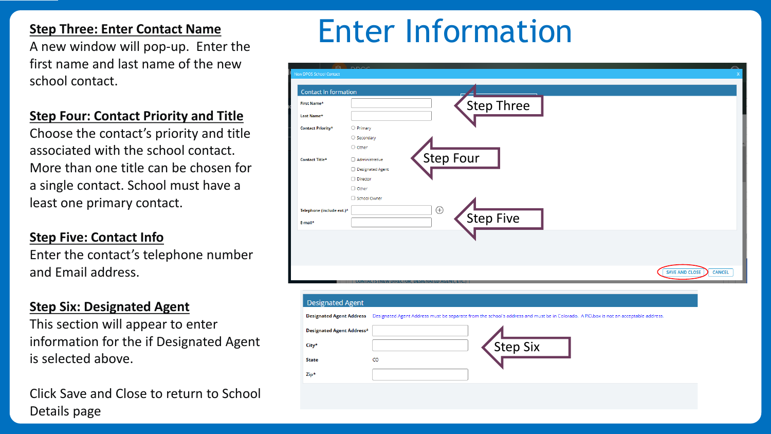first name and last name of the new school contact.

### **Step Four: Contact Priority and Title**

Choose the contact's priority and title associated with the school contact. More than one title can be chosen for a single contact. School must have a least one primary contact.

#### **Step Five: Contact Info**

Enter the contact's telephone number and Email address.

#### **Step Six: Designated Agent**

This section will appear to enter information for the if Designated Agent is selected above.

Click Save and Close to return to School Details page

### **Step Three: Enter Contact Name**<br>A new window will pop-up. Enter the **Enter Information**

| Contact In formation      |                      |             |                  |                                                                                                                                                               |                                        |
|---------------------------|----------------------|-------------|------------------|---------------------------------------------------------------------------------------------------------------------------------------------------------------|----------------------------------------|
| <b>First Name*</b>        |                      |             |                  | Step Three                                                                                                                                                    |                                        |
| Last Name*                |                      |             |                  |                                                                                                                                                               |                                        |
| <b>Contact Priority*</b>  | $\bigcirc$ Primary   |             |                  |                                                                                                                                                               |                                        |
|                           | $\bigcirc$ Secondary |             |                  |                                                                                                                                                               |                                        |
|                           | O Other              |             |                  |                                                                                                                                                               |                                        |
| Contact Title*            | □ Administrative     |             | <b>Step Four</b> |                                                                                                                                                               |                                        |
|                           | □ Designated Agent   |             |                  |                                                                                                                                                               |                                        |
|                           | □ Director           |             |                  |                                                                                                                                                               |                                        |
|                           | □ Other              |             |                  |                                                                                                                                                               |                                        |
|                           | School Owner         |             |                  |                                                                                                                                                               |                                        |
|                           |                      | $\bigoplus$ |                  |                                                                                                                                                               |                                        |
| Telephone (include ext.)* |                      |             |                  |                                                                                                                                                               |                                        |
| E-mail*                   |                      |             |                  |                                                                                                                                                               |                                        |
|                           |                      |             | Step Five        |                                                                                                                                                               |                                        |
|                           |                      |             |                  |                                                                                                                                                               |                                        |
|                           |                      |             |                  |                                                                                                                                                               |                                        |
|                           |                      |             |                  |                                                                                                                                                               |                                        |
|                           |                      |             |                  |                                                                                                                                                               |                                        |
|                           |                      |             |                  |                                                                                                                                                               | <b>SAVE AND CLOSE</b><br><b>CANCEL</b> |
|                           |                      |             |                  |                                                                                                                                                               |                                        |
|                           |                      |             |                  |                                                                                                                                                               |                                        |
| <b>Designated Agent</b>   |                      |             |                  |                                                                                                                                                               |                                        |
|                           |                      |             |                  | Designated Agent Address Designated Agent Address must be separate from the school's address and must be in Colorado. A P.O.box is not an acceptable address. |                                        |
| Designated Agent Address* |                      |             |                  |                                                                                                                                                               |                                        |
|                           |                      |             |                  |                                                                                                                                                               |                                        |
| City*                     |                      |             |                  |                                                                                                                                                               |                                        |
| <b>State</b>              | CO                   |             |                  | Step Six                                                                                                                                                      |                                        |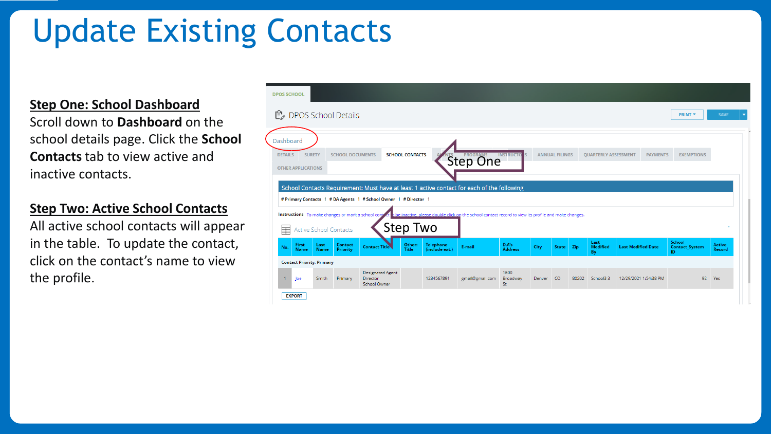### Update Existing Contacts

**Step One: School Dashboard**

Scroll down to **Dashboard** on the school details page. Click the **School Contacts** tab to view active and inactive contacts.

#### **Step Two: Active School Contacts**

All active school contacts will appear in the table. To update the contact, click on the contact's name to view the profile.

| ■ DPOS School Details                                    |                        |                         |                                                                                                                                                                |                        |                                    |                                                                                                        |                         |      |                       |     |                               |                           | <b>PRINT *</b>                               | <b>SAVE</b>      |
|----------------------------------------------------------|------------------------|-------------------------|----------------------------------------------------------------------------------------------------------------------------------------------------------------|------------------------|------------------------------------|--------------------------------------------------------------------------------------------------------|-------------------------|------|-----------------------|-----|-------------------------------|---------------------------|----------------------------------------------|------------------|
| Dashboard<br><b>DETAILS</b><br><b>OTHER APPLICATIONS</b> | <b>SURETY</b>          | <b>SCHOOL DOCUMENTS</b> |                                                                                                                                                                | <b>SCHOOL CONTACTS</b> |                                    | <b>Step One</b>                                                                                        | <b>INSTRUCTO</b>        |      | <b>ANNUAL FILINGS</b> |     | <b>QUARTERLY ASSESSMENT</b>   | <b>PAYMENTS</b>           | <b>EXEMPTIONS</b>                            |                  |
|                                                          |                        |                         |                                                                                                                                                                |                        |                                    |                                                                                                        |                         |      |                       |     |                               |                           |                                              |                  |
| Instructions To make changes or mark a school cont       |                        |                         | School Contacts Requirement: Must have at least 1 active contact for each of the following<br># Primary Contacts 1 # DA Agents 1 # School Owner 1 # Director 1 |                        |                                    | to be inactive, please double click on the school contact record to view its profile and make changes. |                         |      |                       |     |                               |                           |                                              |                  |
| 畐                                                        | Active School Contacts |                         |                                                                                                                                                                | <b>Step Two</b>        |                                    |                                                                                                        |                         |      |                       |     |                               |                           |                                              |                  |
| First<br>No.<br><b>Name</b>                              | Last<br>Name           | Contact<br>Priority     | <b>Contact Title</b>                                                                                                                                           | Other:<br><b>Title</b> | <b>Telephone</b><br>(include ext.) | E-mail                                                                                                 | D.A's<br><b>Address</b> | City | <b>State</b>          | Zip | Last<br><b>Modified</b><br>By | <b>Last Modified Date</b> | <b>School</b><br><b>Contact System</b><br>ID | Active<br>Record |
| <b>Contact Priority: Primary</b>                         |                        |                         |                                                                                                                                                                |                        |                                    |                                                                                                        |                         |      |                       |     |                               |                           |                                              |                  |